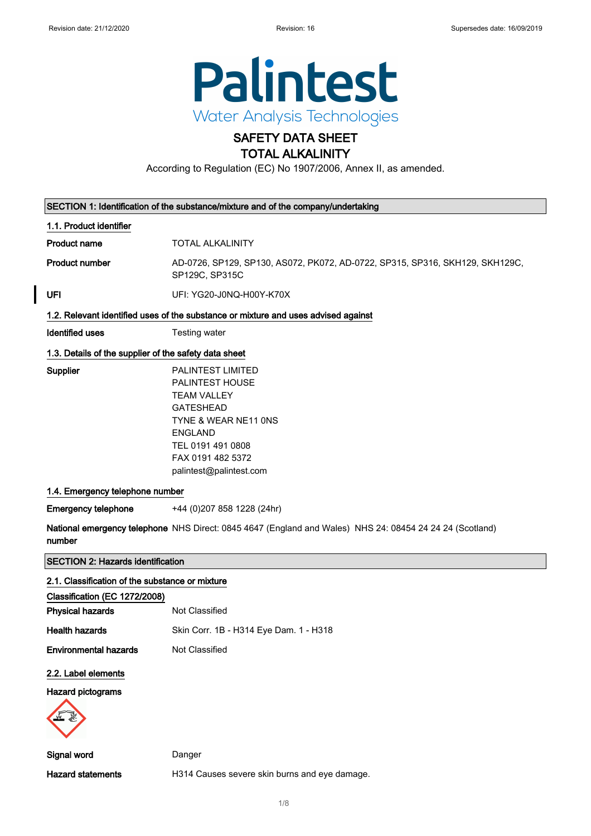$\overline{\phantom{a}}$ 



### SAFETY DATA SHEET TOTAL ALKALINITY

According to Regulation (EC) No 1907/2006, Annex II, as amended.

|                                                       | SECTION 1: Identification of the substance/mixture and of the company/undertaking                                                                                                                    |  |
|-------------------------------------------------------|------------------------------------------------------------------------------------------------------------------------------------------------------------------------------------------------------|--|
| 1.1. Product identifier                               |                                                                                                                                                                                                      |  |
| <b>Product name</b>                                   | <b>TOTAL ALKALINITY</b>                                                                                                                                                                              |  |
| <b>Product number</b>                                 | AD-0726, SP129, SP130, AS072, PK072, AD-0722, SP315, SP316, SKH129, SKH129C,<br>SP129C, SP315C                                                                                                       |  |
| UFI                                                   | UFI: YG20-J0NQ-H00Y-K70X                                                                                                                                                                             |  |
|                                                       | 1.2. Relevant identified uses of the substance or mixture and uses advised against                                                                                                                   |  |
| <b>Identified uses</b>                                | Testing water                                                                                                                                                                                        |  |
| 1.3. Details of the supplier of the safety data sheet |                                                                                                                                                                                                      |  |
| Supplier                                              | PALINTEST LIMITED<br><b>PALINTEST HOUSE</b><br><b>TEAM VALLEY</b><br><b>GATESHEAD</b><br>TYNE & WEAR NE11 ONS<br><b>ENGLAND</b><br>TEL 0191 491 0808<br>FAX 0191 482 5372<br>palintest@palintest.com |  |
| 1.4. Emergency telephone number                       |                                                                                                                                                                                                      |  |
| <b>Emergency telephone</b>                            | +44 (0)207 858 1228 (24hr)                                                                                                                                                                           |  |
| number                                                | National emergency telephone NHS Direct: 0845 4647 (England and Wales) NHS 24: 08454 24 24 24 (Scotland)                                                                                             |  |
| <b>SECTION 2: Hazards identification</b>              |                                                                                                                                                                                                      |  |
| 2.1. Classification of the substance or mixture       |                                                                                                                                                                                                      |  |
| Classification (EC 1272/2008)                         |                                                                                                                                                                                                      |  |
| <b>Physical hazards</b>                               | Not Classified                                                                                                                                                                                       |  |
| <b>Health hazards</b>                                 | Skin Corr. 1B - H314 Eye Dam. 1 - H318                                                                                                                                                               |  |
| <b>Environmental hazards</b>                          | Not Classified                                                                                                                                                                                       |  |
| 2.2. Label elements                                   |                                                                                                                                                                                                      |  |
| Hazard pictograms                                     |                                                                                                                                                                                                      |  |
| <b>Signal word</b>                                    | Danger                                                                                                                                                                                               |  |
| <b>Hazard statements</b>                              | H314 Causes severe skin burns and eye damage.                                                                                                                                                        |  |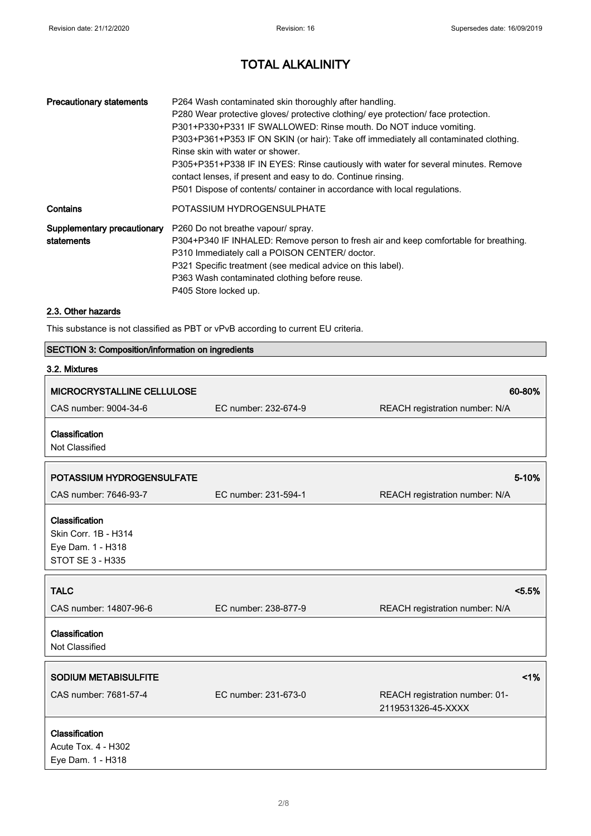| <b>Precautionary statements</b> | P264 Wash contaminated skin thoroughly after handling.<br>P280 Wear protective gloves/ protective clothing/ eye protection/ face protection.<br>P301+P330+P331 IF SWALLOWED: Rinse mouth. Do NOT induce vomiting.<br>P303+P361+P353 IF ON SKIN (or hair): Take off immediately all contaminated clothing.<br>Rinse skin with water or shower.<br>P305+P351+P338 IF IN EYES: Rinse cautiously with water for several minutes. Remove<br>contact lenses, if present and easy to do. Continue rinsing.<br>P501 Dispose of contents/ container in accordance with local regulations. |
|---------------------------------|----------------------------------------------------------------------------------------------------------------------------------------------------------------------------------------------------------------------------------------------------------------------------------------------------------------------------------------------------------------------------------------------------------------------------------------------------------------------------------------------------------------------------------------------------------------------------------|
| Contains                        | POTASSIUM HYDROGENSULPHATE                                                                                                                                                                                                                                                                                                                                                                                                                                                                                                                                                       |
| statements                      | <b>Supplementary precautionary</b> P260 Do not breathe vapour/spray.<br>P304+P340 IF INHALED: Remove person to fresh air and keep comfortable for breathing.<br>P310 Immediately call a POISON CENTER/ doctor.<br>P321 Specific treatment (see medical advice on this label).<br>P363 Wash contaminated clothing before reuse.<br>P405 Store locked up.                                                                                                                                                                                                                          |

### 2.3. Other hazards

This substance is not classified as PBT or vPvB according to current EU criteria.

### SECTION 3: Composition/information on ingredients

| 3.2. Mixtures                                                                   |                      |                                                      |
|---------------------------------------------------------------------------------|----------------------|------------------------------------------------------|
| MICROCRYSTALLINE CELLULOSE                                                      |                      | 60-80%                                               |
| CAS number: 9004-34-6                                                           | EC number: 232-674-9 | REACH registration number: N/A                       |
| Classification<br>Not Classified                                                |                      |                                                      |
| POTASSIUM HYDROGENSULFATE                                                       |                      | 5-10%                                                |
| CAS number: 7646-93-7                                                           | EC number: 231-594-1 | REACH registration number: N/A                       |
| Classification<br>Skin Corr. 1B - H314<br>Eye Dam. 1 - H318<br>STOT SE 3 - H335 |                      |                                                      |
| <b>TALC</b>                                                                     |                      | < 5.5%                                               |
| CAS number: 14807-96-6                                                          | EC number: 238-877-9 | REACH registration number: N/A                       |
| Classification<br>Not Classified                                                |                      |                                                      |
| <b>SODIUM METABISULFITE</b>                                                     |                      | 1%                                                   |
| CAS number: 7681-57-4                                                           | EC number: 231-673-0 | REACH registration number: 01-<br>2119531326-45-XXXX |
| Classification<br>Acute Tox. 4 - H302<br>Eye Dam. 1 - H318                      |                      |                                                      |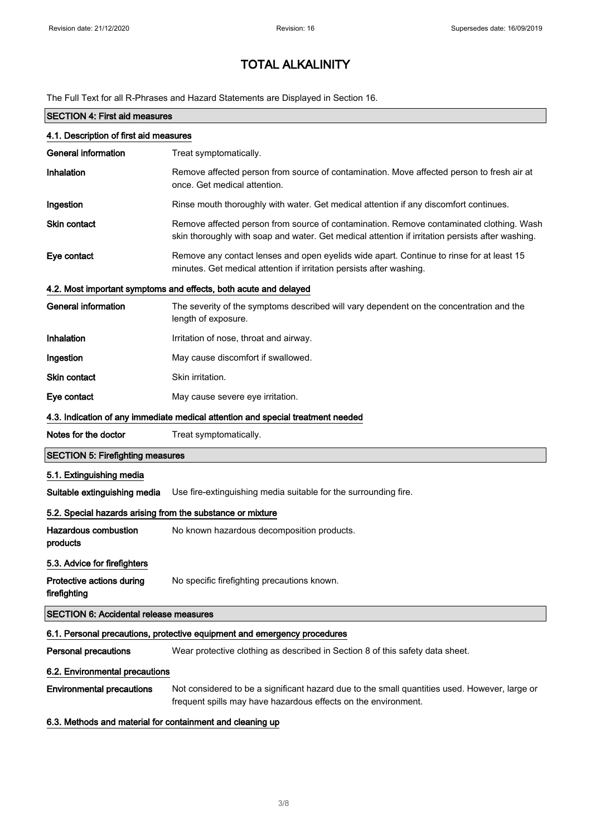The Full Text for all R-Phrases and Hazard Statements are Displayed in Section 16.

| <b>SECTION 4: First aid measures</b>                       |                                                                                                                                                                                             |  |
|------------------------------------------------------------|---------------------------------------------------------------------------------------------------------------------------------------------------------------------------------------------|--|
| 4.1. Description of first aid measures                     |                                                                                                                                                                                             |  |
| <b>General information</b>                                 | Treat symptomatically.                                                                                                                                                                      |  |
| Inhalation                                                 | Remove affected person from source of contamination. Move affected person to fresh air at<br>once. Get medical attention.                                                                   |  |
| Ingestion                                                  | Rinse mouth thoroughly with water. Get medical attention if any discomfort continues.                                                                                                       |  |
| <b>Skin contact</b>                                        | Remove affected person from source of contamination. Remove contaminated clothing. Wash<br>skin thoroughly with soap and water. Get medical attention if irritation persists after washing. |  |
| Eye contact                                                | Remove any contact lenses and open eyelids wide apart. Continue to rinse for at least 15<br>minutes. Get medical attention if irritation persists after washing.                            |  |
|                                                            | 4.2. Most important symptoms and effects, both acute and delayed                                                                                                                            |  |
| <b>General information</b>                                 | The severity of the symptoms described will vary dependent on the concentration and the<br>length of exposure.                                                                              |  |
| Inhalation                                                 | Irritation of nose, throat and airway.                                                                                                                                                      |  |
| Ingestion                                                  | May cause discomfort if swallowed.                                                                                                                                                          |  |
| <b>Skin contact</b>                                        | Skin irritation.                                                                                                                                                                            |  |
| Eye contact                                                | May cause severe eye irritation.                                                                                                                                                            |  |
|                                                            | 4.3. Indication of any immediate medical attention and special treatment needed                                                                                                             |  |
| Notes for the doctor                                       | Treat symptomatically.                                                                                                                                                                      |  |
| <b>SECTION 5: Firefighting measures</b>                    |                                                                                                                                                                                             |  |
| 5.1. Extinguishing media                                   |                                                                                                                                                                                             |  |
| Suitable extinguishing media                               | Use fire-extinguishing media suitable for the surrounding fire.                                                                                                                             |  |
| 5.2. Special hazards arising from the substance or mixture |                                                                                                                                                                                             |  |
| <b>Hazardous combustion</b><br>products                    | No known hazardous decomposition products.                                                                                                                                                  |  |
| 5.3. Advice for firefighters                               |                                                                                                                                                                                             |  |
| Protective actions during<br>firefighting                  | No specific firefighting precautions known.                                                                                                                                                 |  |
| <b>SECTION 6: Accidental release measures</b>              |                                                                                                                                                                                             |  |
|                                                            | 6.1. Personal precautions, protective equipment and emergency procedures                                                                                                                    |  |
| <b>Personal precautions</b>                                | Wear protective clothing as described in Section 8 of this safety data sheet.                                                                                                               |  |
| 6.2. Environmental precautions                             |                                                                                                                                                                                             |  |
| <b>Environmental precautions</b>                           | Not considered to be a significant hazard due to the small quantities used. However, large or<br>frequent spills may have hazardous effects on the environment.                             |  |

6.3. Methods and material for containment and cleaning up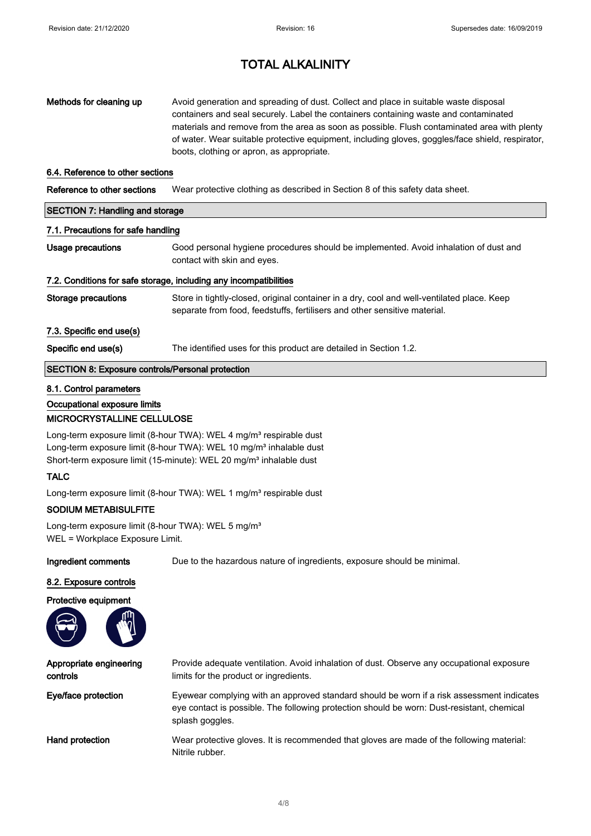| Methods for cleaning up                                           | Avoid generation and spreading of dust. Collect and place in suitable waste disposal<br>containers and seal securely. Label the containers containing waste and contaminated<br>materials and remove from the area as soon as possible. Flush contaminated area with plenty<br>of water. Wear suitable protective equipment, including gloves, goggles/face shield, respirator,<br>boots, clothing or apron, as appropriate. |  |  |
|-------------------------------------------------------------------|------------------------------------------------------------------------------------------------------------------------------------------------------------------------------------------------------------------------------------------------------------------------------------------------------------------------------------------------------------------------------------------------------------------------------|--|--|
| 6.4. Reference to other sections                                  |                                                                                                                                                                                                                                                                                                                                                                                                                              |  |  |
| Reference to other sections                                       | Wear protective clothing as described in Section 8 of this safety data sheet.                                                                                                                                                                                                                                                                                                                                                |  |  |
| <b>SECTION 7: Handling and storage</b>                            |                                                                                                                                                                                                                                                                                                                                                                                                                              |  |  |
| 7.1. Precautions for safe handling                                |                                                                                                                                                                                                                                                                                                                                                                                                                              |  |  |
| Usage precautions                                                 | Good personal hygiene procedures should be implemented. Avoid inhalation of dust and<br>contact with skin and eyes.                                                                                                                                                                                                                                                                                                          |  |  |
| 7.2. Conditions for safe storage, including any incompatibilities |                                                                                                                                                                                                                                                                                                                                                                                                                              |  |  |
| Storage precautions                                               | Store in tightly-closed, original container in a dry, cool and well-ventilated place. Keep<br>separate from food, feedstuffs, fertilisers and other sensitive material.                                                                                                                                                                                                                                                      |  |  |
| 7.3. Specific end use(s)                                          |                                                                                                                                                                                                                                                                                                                                                                                                                              |  |  |
| Specific end use(s)                                               | The identified uses for this product are detailed in Section 1.2.                                                                                                                                                                                                                                                                                                                                                            |  |  |
|                                                                   | <b>SECTION 8: Exposure controls/Personal protection</b>                                                                                                                                                                                                                                                                                                                                                                      |  |  |

#### 8.1. Control parameters

#### Occupational exposure limits

### MICROCRYSTALLINE CELLULOSE

Long-term exposure limit (8-hour TWA): WEL 4 mg/m<sup>3</sup> respirable dust Long-term exposure limit (8-hour TWA): WEL 10 mg/m<sup>3</sup> inhalable dust Short-term exposure limit (15-minute): WEL 20 mg/m<sup>3</sup> inhalable dust

### TALC

Long-term exposure limit (8-hour TWA): WEL 1 mg/m<sup>3</sup> respirable dust

### SODIUM METABISULFITE

Long-term exposure limit (8-hour TWA): WEL 5 mg/m<sup>3</sup> WEL = Workplace Exposure Limit.

Ingredient comments Due to the hazardous nature of ingredients, exposure should be minimal.

#### 8.2. Exposure controls



Appropriate engineering controls Provide adequate ventilation. Avoid inhalation of dust. Observe any occupational exposure limits for the product or ingredients. Eye/face protection Eyewear complying with an approved standard should be worn if a risk assessment indicates eye contact is possible. The following protection should be worn: Dust-resistant, chemical splash goggles. Hand protection **Wear protective gloves.** It is recommended that gloves are made of the following material: Nitrile rubber.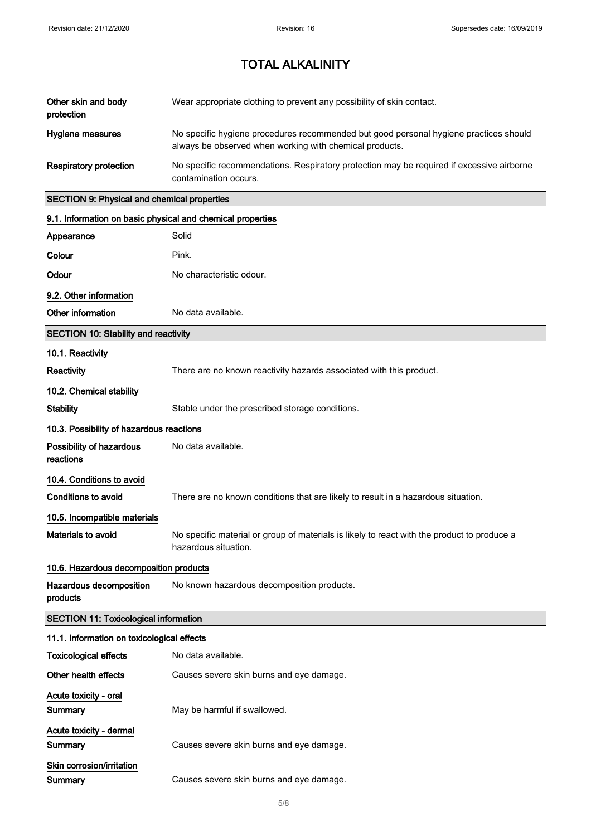| Other skin and body<br>protection | Wear appropriate clothing to prevent any possibility of skin contact.                                                                            |
|-----------------------------------|--------------------------------------------------------------------------------------------------------------------------------------------------|
| Hygiene measures                  | No specific hygiene procedures recommended but good personal hygiene practices should<br>always be observed when working with chemical products. |
| Respiratory protection            | No specific recommendations. Respiratory protection may be required if excessive airborne<br>contamination occurs.                               |

### SECTION 9: Physical and chemical properties

| 9.1. Information on basic physical and chemical properties |                                                                                                                     |
|------------------------------------------------------------|---------------------------------------------------------------------------------------------------------------------|
| Appearance                                                 | Solid                                                                                                               |
| Colour                                                     | Pink.                                                                                                               |
| Odour                                                      | No characteristic odour.                                                                                            |
| 9.2. Other information                                     |                                                                                                                     |
| Other information                                          | No data available.                                                                                                  |
| <b>SECTION 10: Stability and reactivity</b>                |                                                                                                                     |
| 10.1. Reactivity                                           |                                                                                                                     |
| Reactivity                                                 | There are no known reactivity hazards associated with this product.                                                 |
| 10.2. Chemical stability                                   |                                                                                                                     |
| <b>Stability</b>                                           | Stable under the prescribed storage conditions.                                                                     |
| 10.3. Possibility of hazardous reactions                   |                                                                                                                     |
| Possibility of hazardous<br>reactions                      | No data available.                                                                                                  |
| 10.4. Conditions to avoid                                  |                                                                                                                     |
| <b>Conditions to avoid</b>                                 | There are no known conditions that are likely to result in a hazardous situation.                                   |
| 10.5. Incompatible materials                               |                                                                                                                     |
| Materials to avoid                                         | No specific material or group of materials is likely to react with the product to produce a<br>hazardous situation. |
| 10.6. Hazardous decomposition products                     |                                                                                                                     |
| Hazardous decomposition<br>products                        | No known hazardous decomposition products.                                                                          |
| <b>SECTION 11: Toxicological information</b>               |                                                                                                                     |
| 11.1. Information on toxicological effects                 |                                                                                                                     |
| <b>Toxicological effects</b>                               | No data available.                                                                                                  |
| Other health effects                                       | Causes severe skin burns and eye damage.                                                                            |
| Acute toxicity - oral                                      |                                                                                                                     |
| Summary                                                    | May be harmful if swallowed.                                                                                        |
| Acute toxicity - dermal                                    |                                                                                                                     |
| Summary                                                    | Causes severe skin burns and eye damage.                                                                            |
| Skin corrosion/irritation                                  |                                                                                                                     |
| Summary                                                    | Causes severe skin burns and eye damage.                                                                            |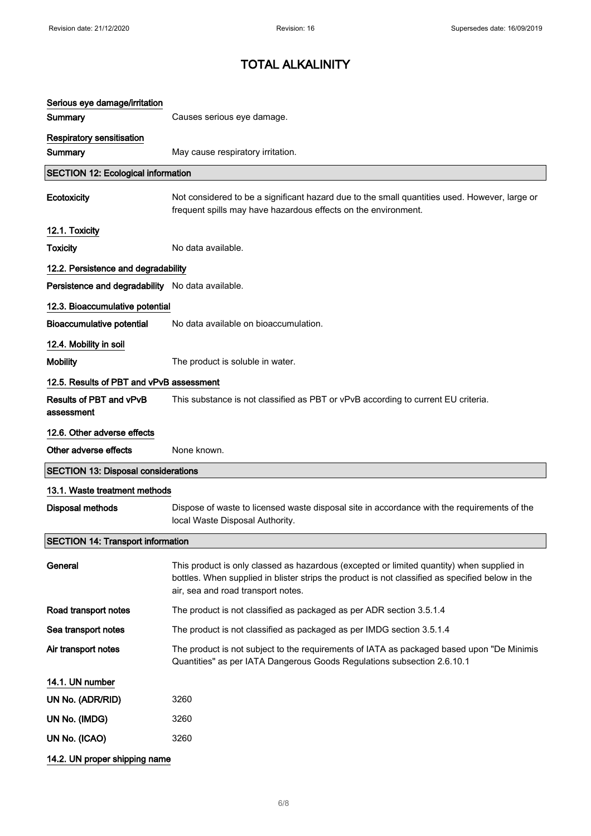| Serious eye damage/irritation                    |                                                                                                                                                                                                                                     |
|--------------------------------------------------|-------------------------------------------------------------------------------------------------------------------------------------------------------------------------------------------------------------------------------------|
| Summary                                          | Causes serious eye damage.                                                                                                                                                                                                          |
| <b>Respiratory sensitisation</b>                 |                                                                                                                                                                                                                                     |
| Summary                                          | May cause respiratory irritation.                                                                                                                                                                                                   |
| <b>SECTION 12: Ecological information</b>        |                                                                                                                                                                                                                                     |
| Ecotoxicity                                      | Not considered to be a significant hazard due to the small quantities used. However, large or<br>frequent spills may have hazardous effects on the environment.                                                                     |
| 12.1. Toxicity                                   |                                                                                                                                                                                                                                     |
| <b>Toxicity</b>                                  | No data available.                                                                                                                                                                                                                  |
| 12.2. Persistence and degradability              |                                                                                                                                                                                                                                     |
| Persistence and degradability No data available. |                                                                                                                                                                                                                                     |
| 12.3. Bioaccumulative potential                  |                                                                                                                                                                                                                                     |
| <b>Bioaccumulative potential</b>                 | No data available on bioaccumulation.                                                                                                                                                                                               |
| 12.4. Mobility in soil                           |                                                                                                                                                                                                                                     |
| <b>Mobility</b>                                  | The product is soluble in water.                                                                                                                                                                                                    |
| 12.5. Results of PBT and vPvB assessment         |                                                                                                                                                                                                                                     |
| Results of PBT and vPvB<br>assessment            | This substance is not classified as PBT or vPvB according to current EU criteria.                                                                                                                                                   |
| 12.6. Other adverse effects                      |                                                                                                                                                                                                                                     |
| Other adverse effects                            | None known.                                                                                                                                                                                                                         |
| <b>SECTION 13: Disposal considerations</b>       |                                                                                                                                                                                                                                     |
| 13.1. Waste treatment methods                    |                                                                                                                                                                                                                                     |
| <b>Disposal methods</b>                          | Dispose of waste to licensed waste disposal site in accordance with the requirements of the<br>local Waste Disposal Authority.                                                                                                      |
| <b>SECTION 14: Transport information</b>         |                                                                                                                                                                                                                                     |
| General                                          | This product is only classed as hazardous (excepted or limited quantity) when supplied in<br>bottles. When supplied in blister strips the product is not classified as specified below in the<br>air, sea and road transport notes. |
| Road transport notes                             | The product is not classified as packaged as per ADR section 3.5.1.4                                                                                                                                                                |
| Sea transport notes                              | The product is not classified as packaged as per IMDG section 3.5.1.4                                                                                                                                                               |
| Air transport notes                              | The product is not subject to the requirements of IATA as packaged based upon "De Minimis"<br>Quantities" as per IATA Dangerous Goods Regulations subsection 2.6.10.1                                                               |
| 14.1. UN number                                  |                                                                                                                                                                                                                                     |
| UN No. (ADR/RID)                                 | 3260                                                                                                                                                                                                                                |
| UN No. (IMDG)                                    | 3260                                                                                                                                                                                                                                |
| UN No. (ICAO)                                    | 3260                                                                                                                                                                                                                                |
| 14.2. UN proper shipping name                    |                                                                                                                                                                                                                                     |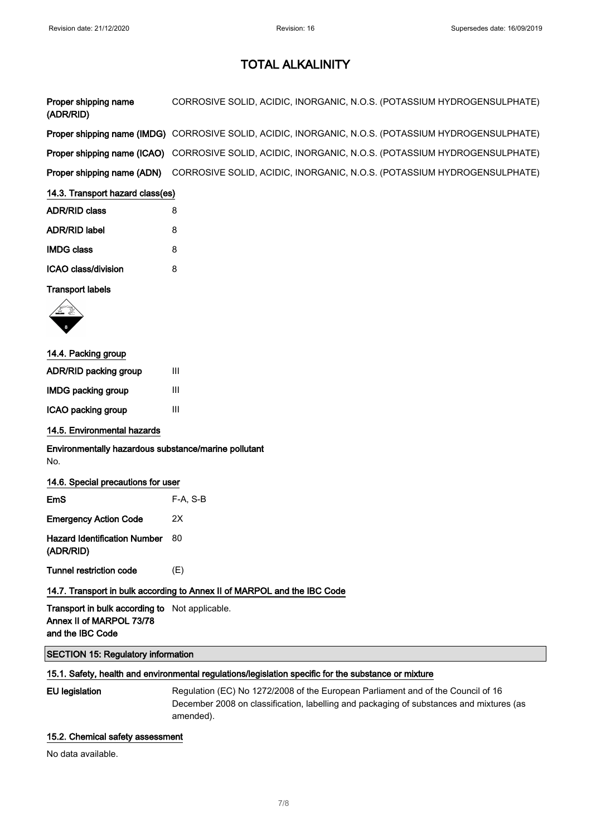| Proper shipping name<br>(ADR/RID) | CORROSIVE SOLID, ACIDIC, INORGANIC, N.O.S. (POTASSIUM HYDROGENSULPHATE)                             |
|-----------------------------------|-----------------------------------------------------------------------------------------------------|
|                                   | Proper shipping name (IMDG) CORROSIVE SOLID, ACIDIC, INORGANIC, N.O.S. (POTASSIUM HYDROGENSULPHATE) |
|                                   | Proper shipping name (ICAO) CORROSIVE SOLID, ACIDIC, INORGANIC, N.O.S. (POTASSIUM HYDROGENSULPHATE) |
| Proper shipping name (ADN)        | CORROSIVE SOLID, ACIDIC, INORGANIC, N.O.S. (POTASSIUM HYDROGENSULPHATE)                             |

### 14.3. Transport hazard class(es)

| <b>ADR/RID class</b> | 8 |
|----------------------|---|
| <b>ADR/RID label</b> | 8 |
| <b>IMDG class</b>    | 8 |
| ICAO class/division  | Զ |

### Transport labels



### 14.4. Packing group

| <b>ADR/RID packing group</b> | Ш |  |
|------------------------------|---|--|
| <b>IMDG packing group</b>    | Ш |  |
| ICAO packing group           | Ш |  |

### 14.5. Environmental hazards

### Environmentally hazardous substance/marine pollutant No.

### 14.6. Special precautions for user

| EmS                                              | $F-A, S-B$ |
|--------------------------------------------------|------------|
| <b>Emergency Action Code</b>                     | 2X         |
| <b>Hazard Identification Number</b><br>(ADR/RID) | 80         |
| <b>Tunnel restriction code</b>                   | (E)        |

### 14.7. Transport in bulk according to Annex II of MARPOL and the IBC Code

Transport in bulk according to Not applicable. Annex II of MARPOL 73/78 and the IBC Code

### SECTION 15: Regulatory information

### 15.1. Safety, health and environmental regulations/legislation specific for the substance or mixture

EU legislation Regulation (EC) No 1272/2008 of the European Parliament and of the Council of 16 December 2008 on classification, labelling and packaging of substances and mixtures (as amended).

### 15.2. Chemical safety assessment

No data available.